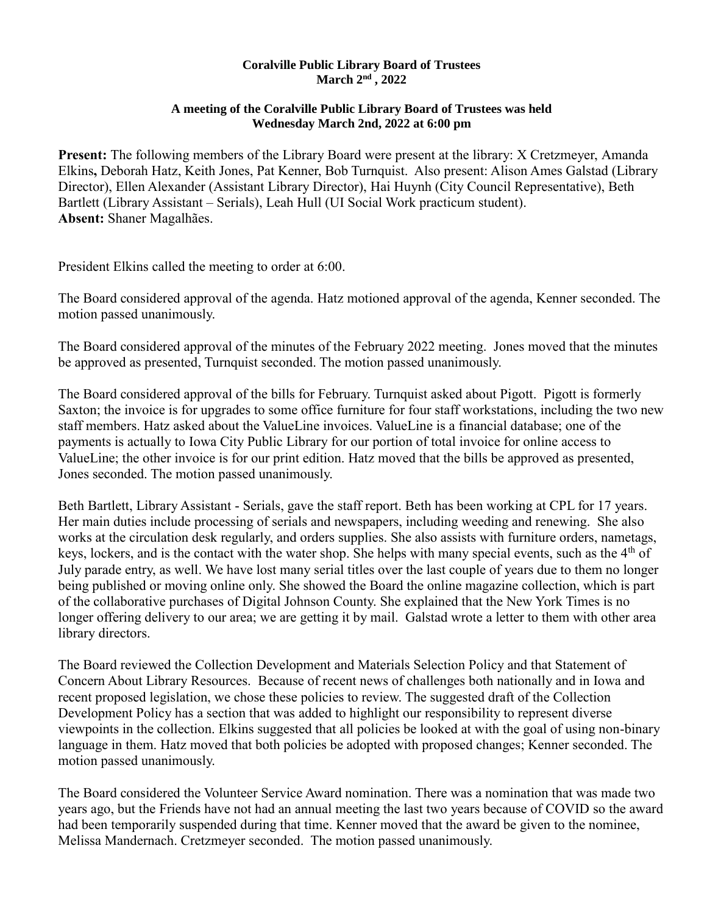## **Coralville Public Library Board of Trustees March 2nd , 2022**

## **A meeting of the Coralville Public Library Board of Trustees was held Wednesday March 2nd, 2022 at 6:00 pm**

**Present:** The following members of the Library Board were present at the library: X Cretzmeyer, Amanda Elkins**,** Deborah Hatz, Keith Jones, Pat Kenner, Bob Turnquist. Also present: Alison Ames Galstad (Library Director), Ellen Alexander (Assistant Library Director), Hai Huynh (City Council Representative), Beth Bartlett (Library Assistant – Serials), Leah Hull (UI Social Work practicum student). **Absent:** Shaner Magalhães.

President Elkins called the meeting to order at 6:00.

The Board considered approval of the agenda. Hatz motioned approval of the agenda, Kenner seconded. The motion passed unanimously.

The Board considered approval of the minutes of the February 2022 meeting. Jones moved that the minutes be approved as presented, Turnquist seconded. The motion passed unanimously.

The Board considered approval of the bills for February. Turnquist asked about Pigott. Pigott is formerly Saxton; the invoice is for upgrades to some office furniture for four staff workstations, including the two new staff members. Hatz asked about the ValueLine invoices. ValueLine is a financial database; one of the payments is actually to Iowa City Public Library for our portion of total invoice for online access to ValueLine; the other invoice is for our print edition. Hatz moved that the bills be approved as presented, Jones seconded. The motion passed unanimously.

Beth Bartlett, Library Assistant - Serials, gave the staff report. Beth has been working at CPL for 17 years. Her main duties include processing of serials and newspapers, including weeding and renewing. She also works at the circulation desk regularly, and orders supplies. She also assists with furniture orders, nametags, keys, lockers, and is the contact with the water shop. She helps with many special events, such as the  $4<sup>th</sup>$  of July parade entry, as well. We have lost many serial titles over the last couple of years due to them no longer being published or moving online only. She showed the Board the online magazine collection, which is part of the collaborative purchases of Digital Johnson County. She explained that the New York Times is no longer offering delivery to our area; we are getting it by mail. Galstad wrote a letter to them with other area library directors.

The Board reviewed the Collection Development and Materials Selection Policy and that Statement of Concern About Library Resources. Because of recent news of challenges both nationally and in Iowa and recent proposed legislation, we chose these policies to review. The suggested draft of the Collection Development Policy has a section that was added to highlight our responsibility to represent diverse viewpoints in the collection. Elkins suggested that all policies be looked at with the goal of using non-binary language in them. Hatz moved that both policies be adopted with proposed changes; Kenner seconded. The motion passed unanimously.

The Board considered the Volunteer Service Award nomination. There was a nomination that was made two years ago, but the Friends have not had an annual meeting the last two years because of COVID so the award had been temporarily suspended during that time. Kenner moved that the award be given to the nominee, Melissa Mandernach. Cretzmeyer seconded. The motion passed unanimously.